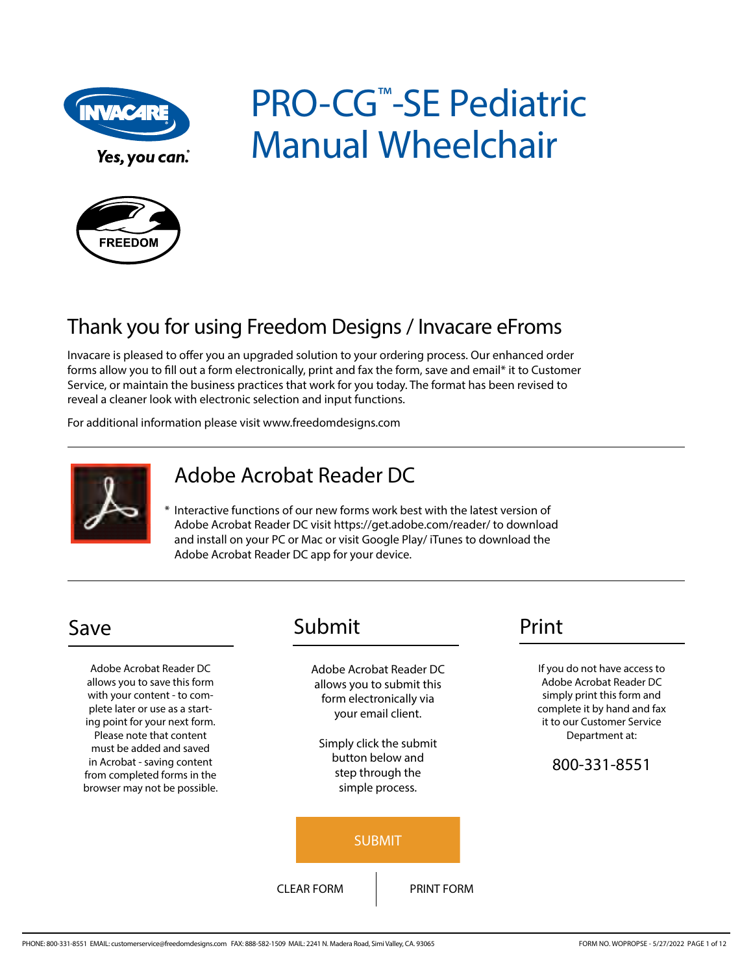

Yes, you can.

# PRO-CG<sup>™</sup>-SE Pediatric Manual Wheelchair



## Thank you for using Freedom Designs / Invacare eFroms

Invacare is pleased to offer you an upgraded solution to your ordering process. Our enhanced order forms allow you to fill out a form electronically, print and fax the form, save and email\* it to Customer Service, or maintain the business practices that work for you today. The format has been revised to reveal a cleaner look with electronic selection and input functions.

For additional information please visit www.freedomdesigns.com



## Adobe Acrobat Reader DC

\* Interactive functions of our new forms work best with the latest version of Adobe Acrobat Reader DC visit https://get.adobe.com/reader/ to download and install on your PC or Mac or visit Google Play/ iTunes to download the Adobe Acrobat Reader DC app for your device.

Adobe Acrobat Reader DC allows you to save this form with your content - to complete later or use as a starting point for your next form. Please note that content must be added and saved in Acrobat - saving content from completed forms in the browser may not be possible.

## Save Submit Print

Adobe Acrobat Reader DC allows you to submit this form electronically via your email client.

Simply click the submit button below and step through the simple process.



If you do not have access to Adobe Acrobat Reader DC simply print this form and complete it by hand and fax it to our Customer Service Department at:

### 800-331-8551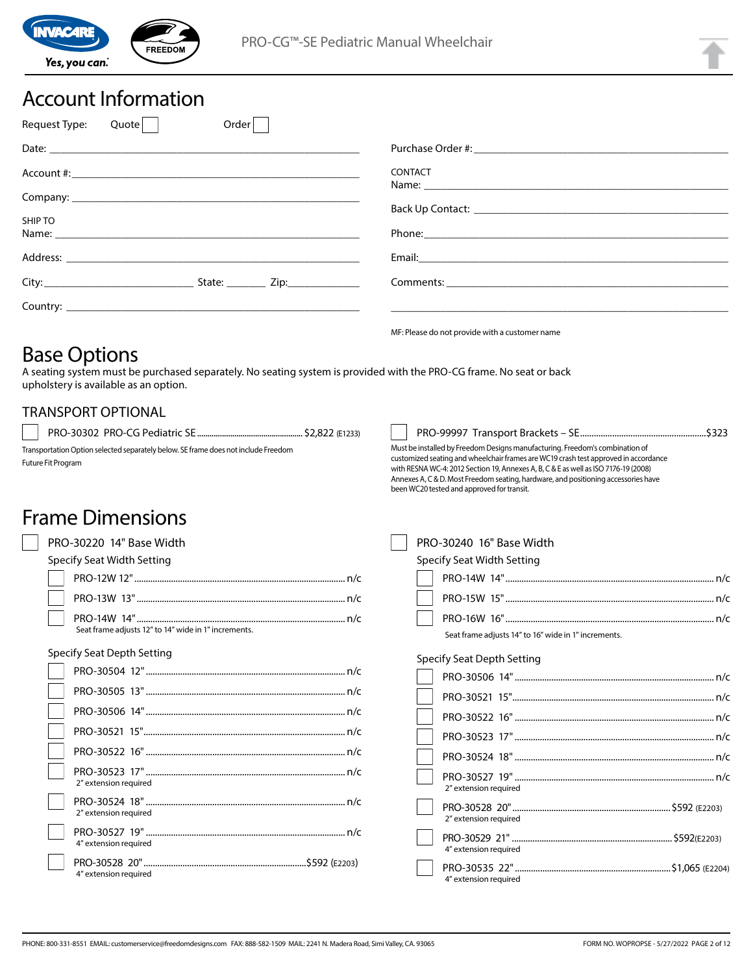

## Account Information

| Order<br>Request Type:<br>Quote |                                                                                                                                                                                                                               |
|---------------------------------|-------------------------------------------------------------------------------------------------------------------------------------------------------------------------------------------------------------------------------|
|                                 |                                                                                                                                                                                                                               |
|                                 | <b>CONTACT</b>                                                                                                                                                                                                                |
|                                 |                                                                                                                                                                                                                               |
| SHIP TO                         |                                                                                                                                                                                                                               |
|                                 | Phone: Note: 2008 Phone: 2008 Phone: 2008 Phone: 2008 Phone: 2008 Phone: 2008 Phone: 2008 Phone: 2008 Phone: 2008 Phone: 2008 Phone: 2008 Phone: 2008 Phone: 2008 Phone: 2008 Phone: 2008 Phone: 2008 Phone: 2008 Phone: 2008 |
|                                 |                                                                                                                                                                                                                               |
|                                 |                                                                                                                                                                                                                               |
|                                 |                                                                                                                                                                                                                               |
|                                 | ME: Please do not provide with a customer name                                                                                                                                                                                |

## Base Options

A seating system must be purchased separately. No seating system is provided with the PRO-CG frame. No seat or back upholstery is available as an option.

### TRANSPORT OPTIONAL

PRO-30302 PRO-CG Pediatric SE................................................... \$2,822 (E1233)

Transportation Option selected separately below. SE frame does not include Freedom Future Fit Program

Seat frame adjusts 12" to 14" wide in 1" increments.

been WC20 tested and approved for transit.

PRO-30240 16" Base Width Specify Seat Width Setting PRO-14W 14"........................................................................................... n/c PRO-15W 15"........................................................................................... n/c PRO-16W 16"........................................................................................... n/c

PRO-99997 Transport Brackets – SE .......................................................\$323

Seat frame adjusts 14" to 16" wide in 1" increments.

Must be installed by Freedom Designs manufacturing. Freedom's combination of customized seating and wheelchair frames are WC19 crash test approved in accordance with RESNA WC-4: 2012 Section 19, Annexes A, B, C & E as well as ISO 7176-19 (2008) Annexes A, C & D. Most Freedom seating, hardware, and positioning accessories have

#### Specify Seat Depth Setting

| 2" extension required |                 |
|-----------------------|-----------------|
| 2" extension required |                 |
| 4" extension required |                 |
| 4" extension required | .S1.065 (E2204) |

#### Specify Seat Depth Setting

Frame Dimensions

PRO-30220 14" Base Width Specify Seat Width Setting

| 2" extension required |  |
|-----------------------|--|
| 2" extension required |  |
| 4" extension required |  |
| 4" extension required |  |

PRO-12W 12"............................................................................................ n/c PRO-13W 13"........................................................................................... n/c PRO-14W 14"........................................................................................... n/c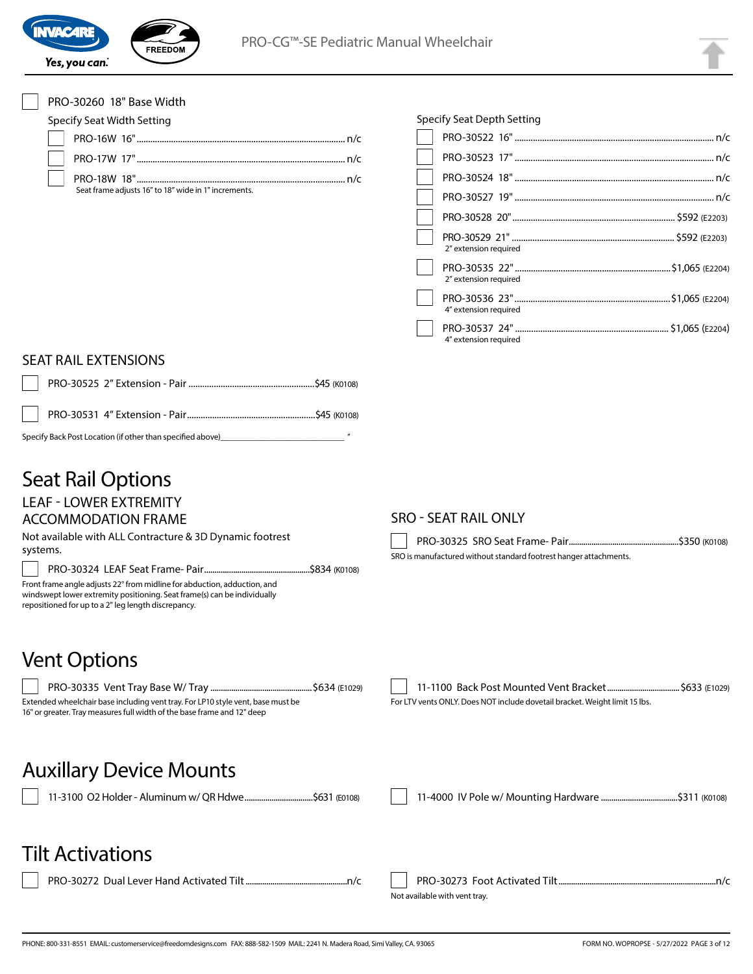

| PRO-30260 18" Base Width                                                                                                                                                                                    |                                                                             |
|-------------------------------------------------------------------------------------------------------------------------------------------------------------------------------------------------------------|-----------------------------------------------------------------------------|
| <b>Specify Seat Width Setting</b>                                                                                                                                                                           | Specify Seat Depth Setting                                                  |
|                                                                                                                                                                                                             |                                                                             |
|                                                                                                                                                                                                             |                                                                             |
|                                                                                                                                                                                                             |                                                                             |
| Seat frame adjusts 16" to 18" wide in 1" increments.                                                                                                                                                        |                                                                             |
|                                                                                                                                                                                                             |                                                                             |
|                                                                                                                                                                                                             |                                                                             |
|                                                                                                                                                                                                             | 2" extension required                                                       |
|                                                                                                                                                                                                             | 2" extension required                                                       |
|                                                                                                                                                                                                             | 4" extension required                                                       |
|                                                                                                                                                                                                             | 4" extension required                                                       |
| <b>SEAT RAIL EXTENSIONS</b>                                                                                                                                                                                 |                                                                             |
|                                                                                                                                                                                                             |                                                                             |
|                                                                                                                                                                                                             |                                                                             |
| Specify Back Post Location (if other than specified above)______________________                                                                                                                            |                                                                             |
| <b>Seat Rail Options</b>                                                                                                                                                                                    |                                                                             |
| <b>LEAF - LOWER EXTREMITY</b>                                                                                                                                                                               |                                                                             |
| <b>ACCOMMODATION FRAME</b>                                                                                                                                                                                  | <b>SRO - SEAT RAIL ONLY</b>                                                 |
| Not available with ALL Contracture & 3D Dynamic footrest<br>systems.                                                                                                                                        |                                                                             |
|                                                                                                                                                                                                             | SRO is manufactured without standard footrest hanger attachments.           |
| Front frame angle adjusts 22° from midline for abduction, adduction, and<br>windswept lower extremity positioning. Seat frame(s) can be individually<br>repositioned for up to a 2" leg length discrepancy. |                                                                             |
| <b>Vent Options</b>                                                                                                                                                                                         |                                                                             |
|                                                                                                                                                                                                             |                                                                             |
| Extended wheelchair base including vent tray. For LP10 style vent, base must be<br>16" or greater. Tray measures full width of the base frame and 12" deep                                                  | For LTV vents ONLY. Does NOT include dovetail bracket. Weight limit 15 lbs. |
| <b>Auxillary Device Mounts</b>                                                                                                                                                                              |                                                                             |
| 11-3100 O2 Holder - Aluminum w/ QR Hdwe\$631 (E0108)                                                                                                                                                        |                                                                             |
| <b>Tilt Activations</b>                                                                                                                                                                                     |                                                                             |
|                                                                                                                                                                                                             |                                                                             |
|                                                                                                                                                                                                             | Not available with vent tray.                                               |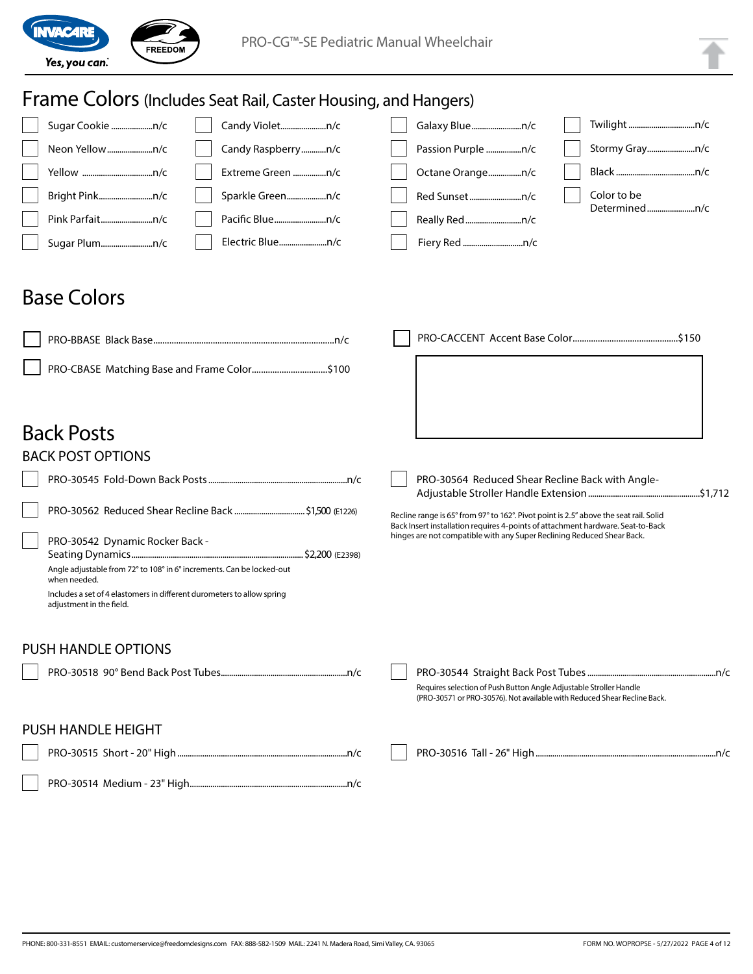

| <b>Frame Colors</b> (Includes Seat Rail, Caster Housing, and Hangers)                                              |                                                                                                                                                           |
|--------------------------------------------------------------------------------------------------------------------|-----------------------------------------------------------------------------------------------------------------------------------------------------------|
| Sugar Cookie n/c<br>Candy Violetn/c                                                                                | Galaxy Bluen/c                                                                                                                                            |
| Candy Raspberryn/c<br>Neon Yellown/c                                                                               | Stormy Grayn/c<br>Passion Purple n/c                                                                                                                      |
| Extreme Green n/c                                                                                                  | Octane Orangen/c                                                                                                                                          |
| Bright Pinkn/c                                                                                                     | Color to be                                                                                                                                               |
| Pink Parfaitn/c                                                                                                    | Determinedn/c                                                                                                                                             |
| Electric Bluen/c<br>Sugar Plumn/c                                                                                  |                                                                                                                                                           |
| <b>Base Colors</b>                                                                                                 |                                                                                                                                                           |
|                                                                                                                    |                                                                                                                                                           |
| PRO-CBASE Matching Base and Frame Color\$100                                                                       |                                                                                                                                                           |
| <b>Back Posts</b>                                                                                                  |                                                                                                                                                           |
| <b>BACK POST OPTIONS</b>                                                                                           |                                                                                                                                                           |
|                                                                                                                    | PRO-30564 Reduced Shear Recline Back with Angle-                                                                                                          |
|                                                                                                                    | Recline range is 65° from 97° to 162°. Pivot point is 2.5" above the seat rail. Solid                                                                     |
| PRO-30542 Dynamic Rocker Back -<br>Angle adjustable from 72° to 108° in 6° increments. Can be locked-out           | Back Insert installation requires 4-points of attachment hardware. Seat-to-Back<br>hinges are not compatible with any Super Reclining Reduced Shear Back. |
| when needed.<br>Includes a set of 4 elastomers in different durometers to allow spring<br>adjustment in the field. |                                                                                                                                                           |
| <b>PUSH HANDLE OPTIONS</b>                                                                                         |                                                                                                                                                           |
|                                                                                                                    | Requires selection of Push Button Angle Adjustable Stroller Handle<br>(PRO-30571 or PRO-30576). Not available with Reduced Shear Recline Back.            |
| <b>PUSH HANDLE HEIGHT</b>                                                                                          |                                                                                                                                                           |
|                                                                                                                    |                                                                                                                                                           |
|                                                                                                                    |                                                                                                                                                           |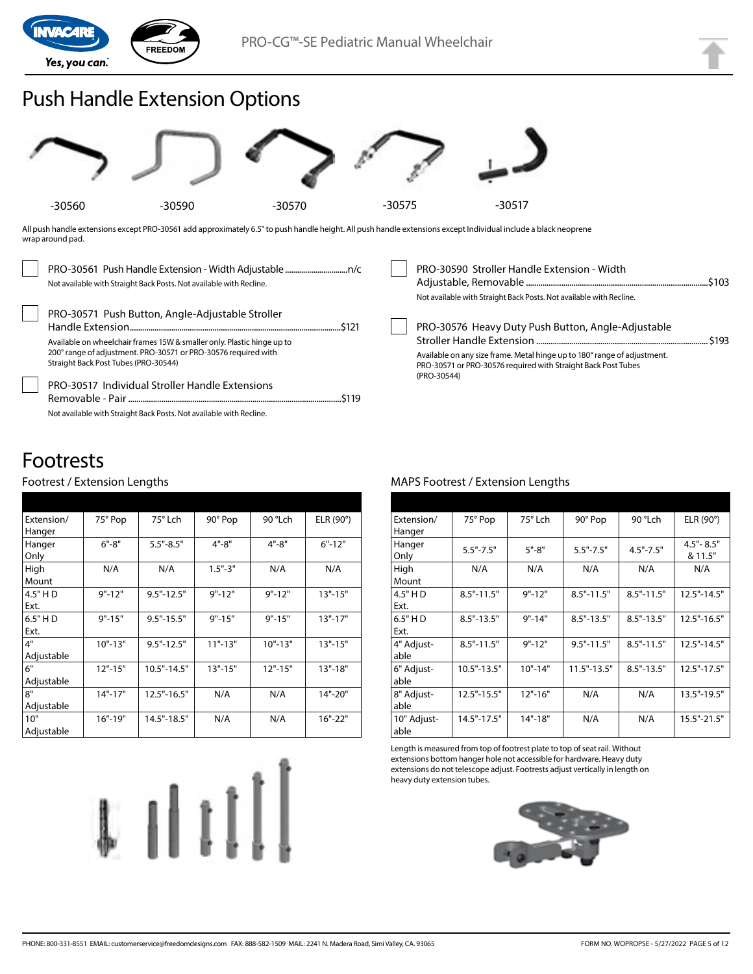

## Push Handle Extension Options



All push handle extensions except PRO-30561 add approximately 6.5" to push handle height. All push handle extensions except Individual include a black neoprene wrap around pad.

| Not available with Straight Back Posts. Not available with Recline.                                                                                                                                                                  | PRO-30590 Stroller Handle Extension - Width<br>Not available with Straight Back Posts. Not available with Recline.                                                                                             |  |
|--------------------------------------------------------------------------------------------------------------------------------------------------------------------------------------------------------------------------------------|----------------------------------------------------------------------------------------------------------------------------------------------------------------------------------------------------------------|--|
| PRO-30571 Push Button, Angle-Adjustable Stroller<br>Available on wheelchair frames 15W & smaller only. Plastic hinge up to<br>200° range of adjustment. PRO-30571 or PRO-30576 required with<br>Straight Back Post Tubes (PRO-30544) | PRO-30576 Heavy Duty Push Button, Angle-Adjustable<br>Available on any size frame. Metal hinge up to 180° range of adjustment.<br>PRO-30571 or PRO-30576 required with Straight Back Post Tubes<br>(PRO-30544) |  |
| <b>PRO-30517 Individual Stroller Handle Extensions</b><br>Not available with Straight Back Posts. Not available with Recline.                                                                                                        |                                                                                                                                                                                                                |  |

## Footrests

#### Footrest / Extension Lengths

| Extension/ | 75° Pop     | 75° Lch         | 90° Pop     | 90 °Lch     | ELR (90°)   |
|------------|-------------|-----------------|-------------|-------------|-------------|
| Hanger     |             |                 |             |             |             |
| Hanger     | $6" - 8"$   | $5.5" - 8.5"$   | $4" - 8"$   | $4" - 8"$   | $6" - 12"$  |
| Only       |             |                 |             |             |             |
| High       | N/A         | N/A             | $1.5 - 3$   | N/A         | N/A         |
| Mount      |             |                 |             |             |             |
| 4.5" HD    | $9" - 12"$  | $9.5" - 12.5"$  | $9" - 12"$  | $9" - 12"$  | $13" - 15"$ |
| Ext.       |             |                 |             |             |             |
| $6.5"$ HD  | $9" - 15"$  | $9.5" - 15.5"$  | $9" - 15"$  | $9" - 15"$  | $13" - 17"$ |
| Ext.       |             |                 |             |             |             |
| 4"         | $10" - 13"$ | $9.5" - 12.5"$  | $11" - 13"$ | $10" - 13"$ | $13" - 15"$ |
| Adjustable |             |                 |             |             |             |
| 6"         | $12" - 15"$ | $10.5" - 14.5"$ | $13" - 15"$ | $12" - 15"$ | $13" - 18"$ |
| Adjustable |             |                 |             |             |             |
| 8"         | $14" - 17"$ | 12.5"-16.5"     | N/A         | N/A         | 14"-20"     |
| Adjustable |             |                 |             |             |             |
| 10"        | $16" - 19"$ | 14.5"-18.5"     | N/A         | N/A         | 16"-22"     |
| Adjustable |             |                 |             |             |             |



#### MAPS Footrest / Extension Lengths

| Extension/<br>Hanger | 75° Pop        | 75° Lch     | 90° Pop         | 90 °Lch        | ELR $(90^\circ)$         |
|----------------------|----------------|-------------|-----------------|----------------|--------------------------|
| Hanger<br>Only       | $5.5" - 7.5"$  | $5" - 8"$   | $5.5" - 7.5"$   | $4.5" - 7.5"$  | $4.5" - 8.5"$<br>& 11.5" |
| High<br>Mount        | N/A            | N/A         | N/A             | N/A            | N/A                      |
| 4.5" HD<br>Ext.      | $8.5" - 11.5"$ | $9" - 12"$  | $8.5" - 11.5"$  | $8.5" - 11.5"$ | $12.5" - 14.5"$          |
| 6.5" HD<br>Ext.      | $8.5" - 13.5"$ | $9" - 14"$  | $8.5" - 13.5"$  | $8.5" - 13.5"$ | $12.5" - 16.5"$          |
| 4" Adjust-<br>able   | $8.5" - 11.5"$ | $9" - 12"$  | $9.5" - 11.5"$  | $8.5" - 11.5"$ | 12.5"-14.5"              |
| 6" Adjust-<br>able   | 10.5"-13.5"    | $10" - 14"$ | $11.5" - 13.5"$ | $8.5" - 13.5"$ | $12.5" - 17.5"$          |
| 8" Adjust-<br>able   | 12.5"-15.5"    | $12" - 16"$ | N/A             | N/A            | 13.5"-19.5"              |
| 10" Adjust-<br>able  | 14.5"-17.5"    | $14" - 18"$ | N/A             | N/A            | 15.5"-21.5"              |

Length is measured from top of footrest plate to top of seat rail. Without extensions bottom hanger hole not accessible for hardware. Heavy duty extensions do not telescope adjust. Footrests adjust vertically in length on heavy duty extension tubes.

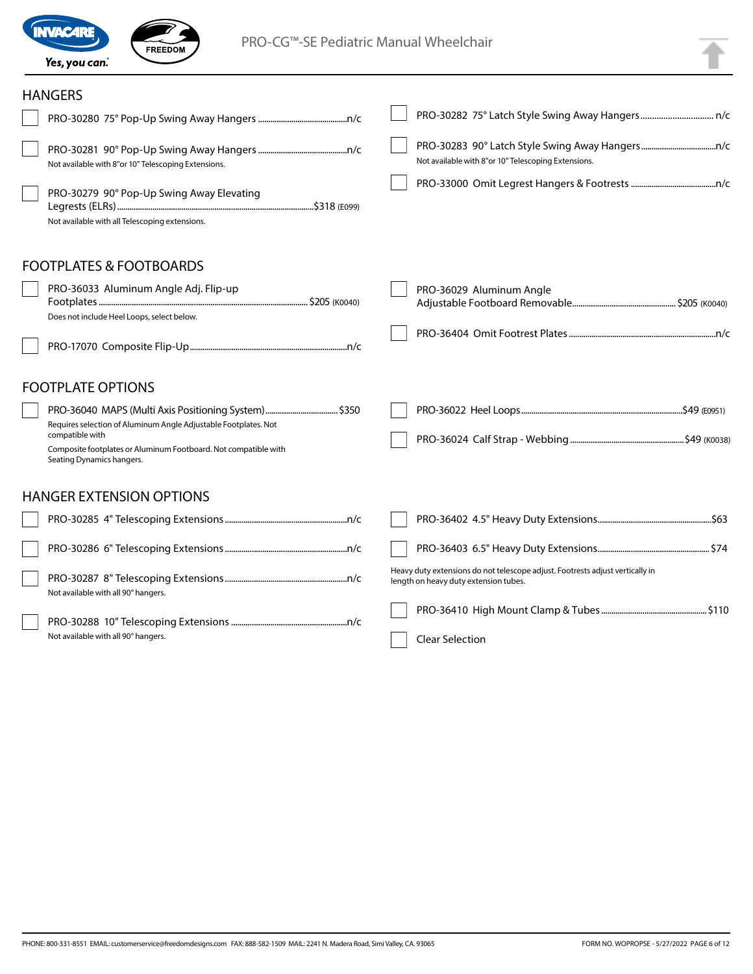

FREEDOM

### HANGERS

| HANGERS                                                                                                                                                                                                                                    |                                                                                                                        |
|--------------------------------------------------------------------------------------------------------------------------------------------------------------------------------------------------------------------------------------------|------------------------------------------------------------------------------------------------------------------------|
|                                                                                                                                                                                                                                            |                                                                                                                        |
| Not available with 8"or 10" Telescoping Extensions.                                                                                                                                                                                        | Not available with 8"or 10" Telescoping Extensions.                                                                    |
| PRO-30279 90° Pop-Up Swing Away Elevating<br>Not available with all Telescoping extensions.                                                                                                                                                |                                                                                                                        |
| <b>FOOTPLATES &amp; FOOTBOARDS</b>                                                                                                                                                                                                         |                                                                                                                        |
| PRO-36033 Aluminum Angle Adj. Flip-up<br>Does not include Heel Loops, select below.                                                                                                                                                        | PRO-36029 Aluminum Angle                                                                                               |
|                                                                                                                                                                                                                                            |                                                                                                                        |
| <b>FOOTPLATE OPTIONS</b>                                                                                                                                                                                                                   |                                                                                                                        |
| PRO-36040 MAPS (Multi Axis Positioning System) \$350<br>Requires selection of Aluminum Angle Adjustable Footplates. Not<br>compatible with<br>Composite footplates or Aluminum Footboard. Not compatible with<br>Seating Dynamics hangers. |                                                                                                                        |
| <b>HANGER EXTENSION OPTIONS</b>                                                                                                                                                                                                            |                                                                                                                        |
|                                                                                                                                                                                                                                            |                                                                                                                        |
|                                                                                                                                                                                                                                            |                                                                                                                        |
| Not available with all 90° hangers.                                                                                                                                                                                                        | Heavy duty extensions do not telescope adjust. Footrests adjust vertically in<br>length on heavy duty extension tubes. |
| Not available with all 90° hangers.                                                                                                                                                                                                        | <b>Clear Selection</b>                                                                                                 |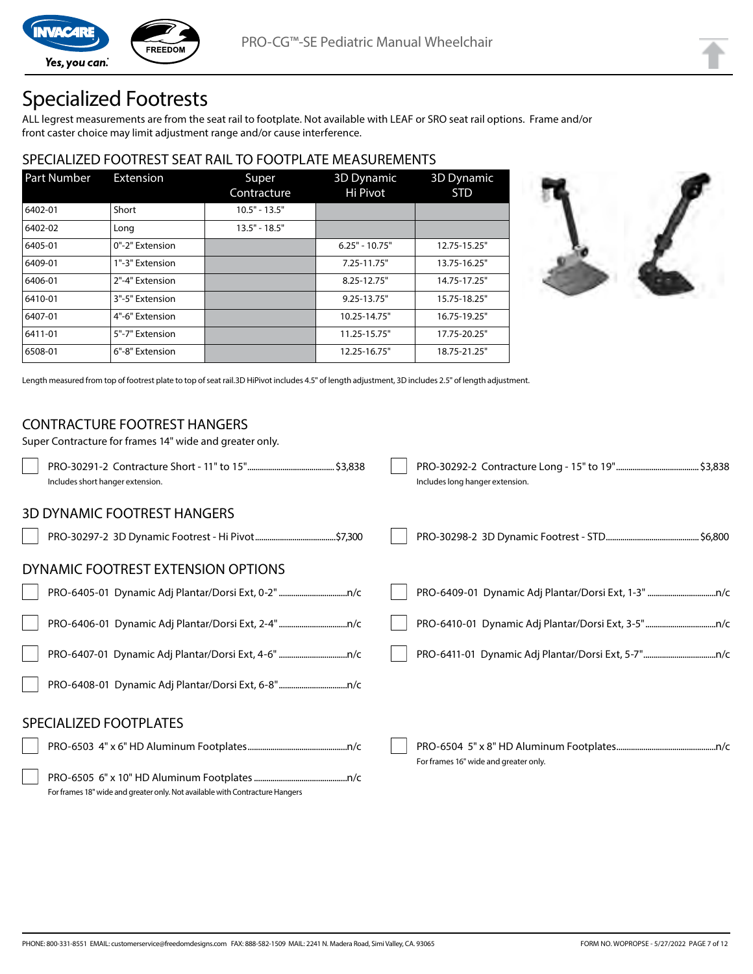

Yes, you can.

## Specialized Footrests

ALL legrest measurements are from the seat rail to footplate. Not available with LEAF or SRO seat rail options. Frame and/or front caster choice may limit adjustment range and/or cause interference.

#### SPECIALIZED FOOTREST SEAT RAIL TO FOOTPLATE MEASUREMENTS

| <b>Part Number</b> | Extension       | Super<br>Contracture | 3D Dynamic<br>Hi Pivot | <b>3D Dynamic</b><br><b>STD</b> |
|--------------------|-----------------|----------------------|------------------------|---------------------------------|
| 6402-01            | Short           | $10.5" - 13.5"$      |                        |                                 |
| 6402-02            | Long            | $13.5" - 18.5"$      |                        |                                 |
| 6405-01            | 0"-2" Extension |                      | $6.25" - 10.75"$       | 12.75-15.25"                    |
| 6409-01            | 1"-3" Extension |                      | 7.25-11.75"            | 13.75-16.25"                    |
| 6406-01            | 2"-4" Extension |                      | 8.25-12.75"            | 14.75-17.25"                    |
| 6410-01            | 3"-5" Extension |                      | $9.25 - 13.75$ "       | 15.75-18.25"                    |
| 6407-01            | 4"-6" Extension |                      | 10.25-14.75"           | 16.75-19.25"                    |
| 6411-01            | 5"-7" Extension |                      | 11.25-15.75"           | 17.75-20.25"                    |
| 6508-01            | 6"-8" Extension |                      | 12.25-16.75"           | 18.75-21.25"                    |



Length measured from top of footrest plate to top of seat rail.3D HiPivot includes 4.5" of length adjustment, 3D includes 2.5" of length adjustment.

#### CONTRACTURE FOOTREST HANGERS

Super Contracture for frames 14" wide and greater only. PRO-30291-2 Contracture Short - 11" to 15" ..........................................\$3,838 Includes short hanger extension. PRO-30292-2 Contracture Long - 15" to 19" ........................................\$3,838 Includes long hanger extension. 3D DYNAMIC FOOTREST HANGERS PRO-30297-2 3D Dynamic Footrest - Hi Pivot.......................................\$7,300 PRO-30298-2 3D Dynamic Footrest - STD.............................................\$6,800 DYNAMIC FOOTREST EXTENSION OPTIONS PRO-6405-01 Dynamic Adj Plantar/Dorsi Ext, 0-2".................................n/c PRO-6406-01 Dynamic Adj Plantar/Dorsi Ext, 2-4".................................n/c PRO-6407-01 Dynamic Adj Plantar/Dorsi Ext, 4-6" .................................n/c PRO-6408-01 Dynamic Adj Plantar/Dorsi Ext, 6-8".................................n/c PRO-6409-01 Dynamic Adj Plantar/Dorsi Ext, 1-3" .................................n/c PRO-6410-01 Dynamic Adj Plantar/Dorsi Ext, 3-5"..................................n/c PRO-6411-01 Dynamic Adj Plantar/Dorsi Ext, 5-7"...................................n/c SPECIALIZED FOOTPLATES PRO-6503 4" x 6" HD Aluminum Footplates................................................n/c PRO-6505 6" x 10" HD Aluminum Footplates.............................................n/c For frames 18" wide and greater only. Not available with Contracture Hangers PRO-6504 5" x 8" HD Aluminum Footplates................................................n/c For frames 16" wide and greater only.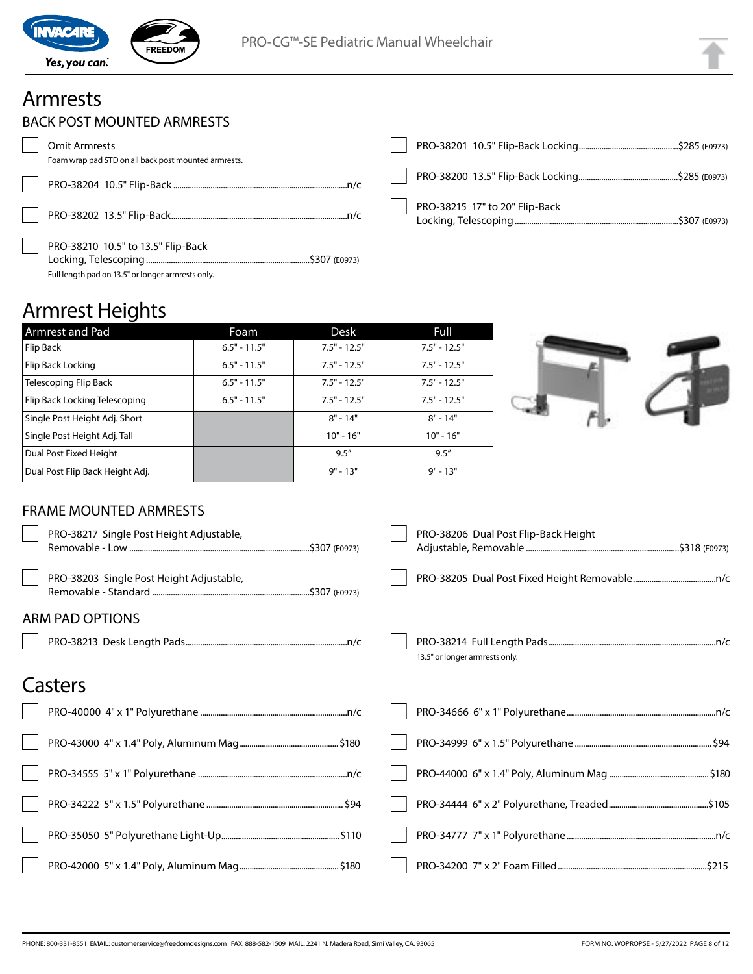

## Armrests

|  | BACK POST MOUNTED ARMRESTS |  |
|--|----------------------------|--|
|--|----------------------------|--|

| Omit Armrests<br>Foam wrap pad STD on all back post mounted armrests.                   |                                |
|-----------------------------------------------------------------------------------------|--------------------------------|
|                                                                                         |                                |
|                                                                                         | PRO-38215 17" to 20" Flip-Back |
| PRO-38210 10.5" to 13.5" Flip-Back<br>Full length pad on 13.5" or longer armrests only. |                                |

## Armrest Heights

| Armrest and Pad                 | Foam           | Desk           | Full           |
|---------------------------------|----------------|----------------|----------------|
| Flip Back                       | $6.5" - 11.5"$ | $7.5" - 12.5"$ | $7.5" - 12.5"$ |
| Flip Back Locking               | $6.5" - 11.5"$ | $7.5" - 12.5"$ | $7.5" - 12.5"$ |
| Telescoping Flip Back           | $6.5" - 11.5"$ | $7.5" - 12.5"$ | $7.5" - 12.5"$ |
| Flip Back Locking Telescoping   | $6.5" - 11.5"$ | $7.5" - 12.5"$ | $7.5" - 12.5"$ |
| Single Post Height Adj. Short   |                | $8" - 14"$     | $8" - 14"$     |
| Single Post Height Adj. Tall    |                | $10" - 16"$    | $10" - 16"$    |
| Dual Post Fixed Height          |                | 9.5''          | 9.5''          |
| Dual Post Flip Back Height Adj. |                | $9" - 13"$     | $9" - 13"$     |



### FRAME MOUNTED ARMRESTS

| PRO-38217 Single Post Height Adjustable, | PRO-38206 Dual Post Flip-Back Height |
|------------------------------------------|--------------------------------------|
| PRO-38203 Single Post Height Adjustable, |                                      |
| <b>ARM PAD OPTIONS</b>                   |                                      |
|                                          | 13.5" or longer armrests only.       |
| Casters                                  |                                      |
|                                          |                                      |
|                                          |                                      |
|                                          |                                      |
|                                          |                                      |
|                                          |                                      |
|                                          |                                      |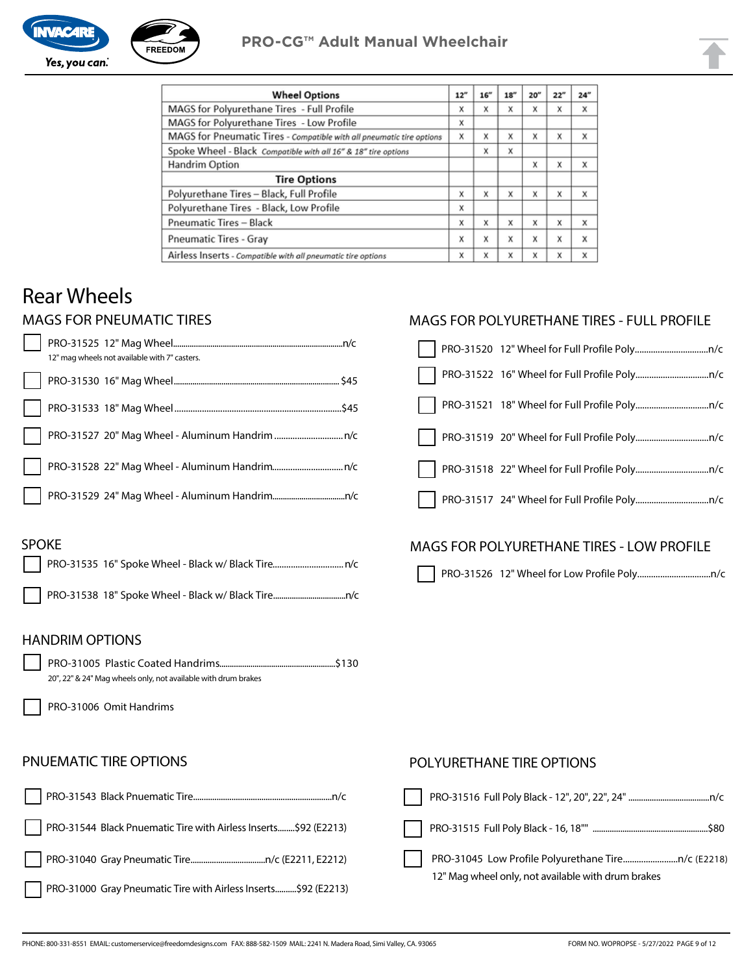

| <b>Wheel Options</b>                                                  | 12" | 16'' | 18" | 20'' | 22" | 24" |
|-----------------------------------------------------------------------|-----|------|-----|------|-----|-----|
| MAGS for Polyurethane Tires - Full Profile                            | X   | X    | X   | X    | X   | x   |
| MAGS for Polyurethane Tires - Low Profile                             | X   |      |     |      |     |     |
| MAGS for Pneumatic Tires - Compatible with all pneumatic tire options | x   | X    | X   | X    | X   | X   |
| Spoke Wheel - Black Compatible with all 16" & 18" tire options        |     | X    | X   |      |     |     |
| Handrim Option                                                        |     |      |     | X    | X   | x   |
| <b>Tire Options</b>                                                   |     |      |     |      |     |     |
| Polyurethane Tires - Black, Full Profile                              | x   | X    | X   | x    | X   | x   |
| Polyurethane Tires - Black, Low Profile                               | x   |      |     |      |     |     |
| <b>Pneumatic Tires - Black</b>                                        | x   | x    | X   | X    | X   | X   |
| <b>Pneumatic Tires - Gray</b>                                         | X   | X    | X   | X    | X   | X   |
| Airless Inserts - Compatible with all pneumatic tire options          | x   | X    | X   | X    | X   | X   |

## Rear Wheels

### MAGS FOR PNEUMATIC TIRES

| 12" mag wheels not available with 7" casters. |  |
|-----------------------------------------------|--|
|                                               |  |
|                                               |  |
|                                               |  |
|                                               |  |
| $\mathsf{L}$                                  |  |

#### MAGS FOR POLYURETHANE TIRES - FULL PROFILE

#### SPOKE

### MAGS FOR POLYURETHANE TIRES - LOW PROFILE

PRO-31526 12" Wheel for Low Profile Poly................................n/c

#### HANDRIM OPTIONS

PRO-31005 Plastic Coated Handrims........................................................\$130 20", 22" & 24" Mag wheels only, not available with drum brakes

PRO-31006 Omit Handrims

#### PNUEMATIC TIRE OPTIONS

| PRO-31544 Black Pnuematic Tire with Airless Inserts\$92 (E2213) | l I          |
|-----------------------------------------------------------------|--------------|
|                                                                 | $\mathbf{I}$ |
| PRO-31000 Gray Pneumatic Tire with Airless Inserts\$92 (E2213)  |              |

#### POLYURETHANE TIRE OPTIONS

| 12" Mag wheel only, not available with drum brakes |
|----------------------------------------------------|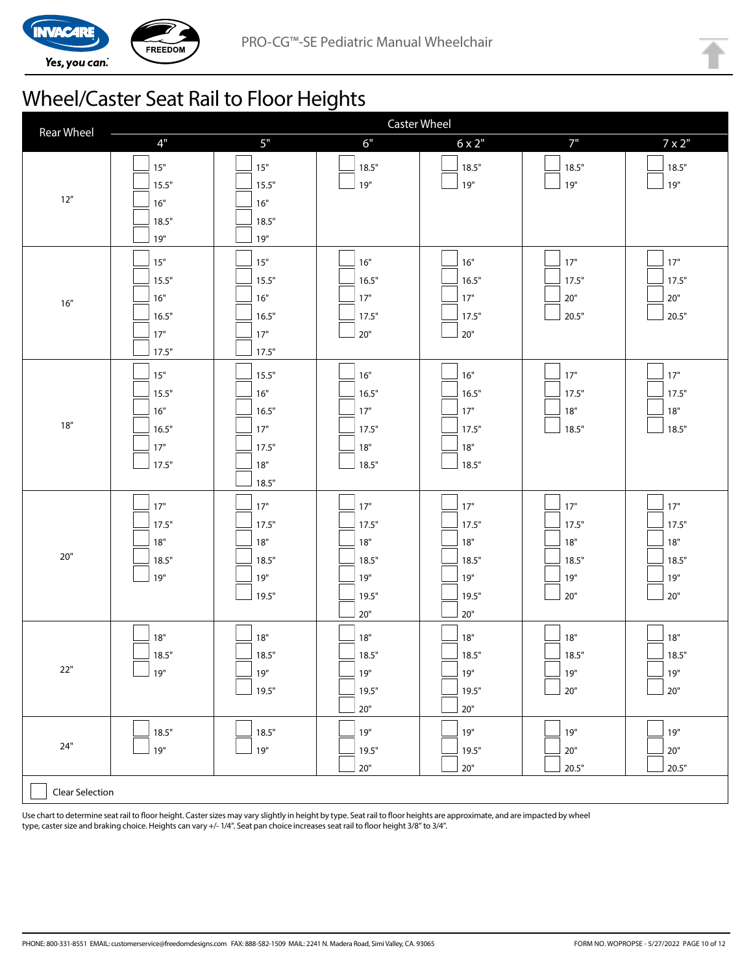

## Wheel/Caster Seat Rail to Floor Heights

| <b>Rear Wheel</b> | <b>Caster Wheel</b>                              |                                                           |                                                         |                                                       |                                                  |                                              |
|-------------------|--------------------------------------------------|-----------------------------------------------------------|---------------------------------------------------------|-------------------------------------------------------|--------------------------------------------------|----------------------------------------------|
|                   | 4"                                               | 5"                                                        | 6"                                                      | $6 \times 2"$                                         | 7"                                               | $7 \times 2$ "                               |
| $12''$            | $15"$<br>15.5"<br>16"<br>18.5"<br>19"            | $15"$<br>15.5"<br>16"<br>18.5"<br>19"                     | 18.5"<br>19"                                            | 18.5"<br>19"                                          | 18.5"<br>$19"$                                   | 18.5"<br>19"                                 |
| $16''$            | $15"$<br>15.5"<br>16"<br>16.5"<br>$17"$<br>17.5" | $15"$<br>15.5"<br>16"<br>16.5"<br>$17"$<br>17.5"          | 16"<br>16.5"<br>$17"$<br>17.5"<br>$20"$                 | 16"<br>16.5"<br>17"<br>17.5"<br>$20"$                 | $17"$<br>17.5"<br>$20"$<br>20.5"                 | 17"<br>17.5"<br>$20"$<br>20.5"               |
| $18''$            | $15"$<br>15.5"<br>16"<br>16.5"<br>$17"$<br>17.5" | 15.5"<br>16"<br>16.5"<br>$17"$<br>17.5"<br>$18"$<br>18.5" | 16"<br>16.5"<br>$17"$<br>17.5"<br>$18"$<br>18.5"        | 16"<br>16.5"<br>17"<br>17.5"<br>18"<br>18.5"          | $17"$<br>17.5"<br>$18"$<br>18.5"                 | $17"$<br>17.5"<br>$18"$<br>18.5"             |
| $20"$             | $17"$<br>17.5"<br>$18"$<br>18.5"<br>19"          | 17"<br>17.5"<br>$18"$<br>18.5"<br>19"<br>19.5"            | $17"$<br>17.5"<br>18"<br>18.5"<br>19"<br>19.5"<br>$20"$ | 17"<br>17.5"<br>18"<br>18.5"<br>19"<br>19.5"<br>$20"$ | $17"$<br>17.5"<br>$18"$<br>18.5"<br>19"<br>$20"$ | 17"<br>17.5"<br>18"<br>18.5"<br>19"<br>$20"$ |
| $22"$             | $18"$<br>18.5"<br>19"                            | $18"$<br>18.5"<br>$19"$<br>19.5"                          | 18"<br>18.5"<br>$19"$<br>19.5"<br>$20"$                 | 18"<br>18.5"<br>$19"$<br>19.5"<br>$20"$               | 18"<br>18.5"<br>$19"$<br>$20"$                   | 18"<br>18.5"<br>$19"$<br>$20"$               |
| $24"$             | 18.5"<br>19"                                     | 18.5"<br>19"                                              | 19"<br>19.5"<br>$20"$                                   | $19"$<br>19.5"<br>$20"$                               | 19"<br>$20"$<br>20.5"                            | 19"<br>$20"$<br>20.5"                        |
| Clear Selection   |                                                  |                                                           |                                                         |                                                       |                                                  |                                              |

Use chart to determine seat rail to floor height. Caster sizes may vary slightly in height by type. Seat rail to floor heights are approximate, and are impacted by wheel type, caster size and braking choice. Heights can vary +/- 1/4". Seat pan choice increases seat rail to floor height 3/8" to 3/4".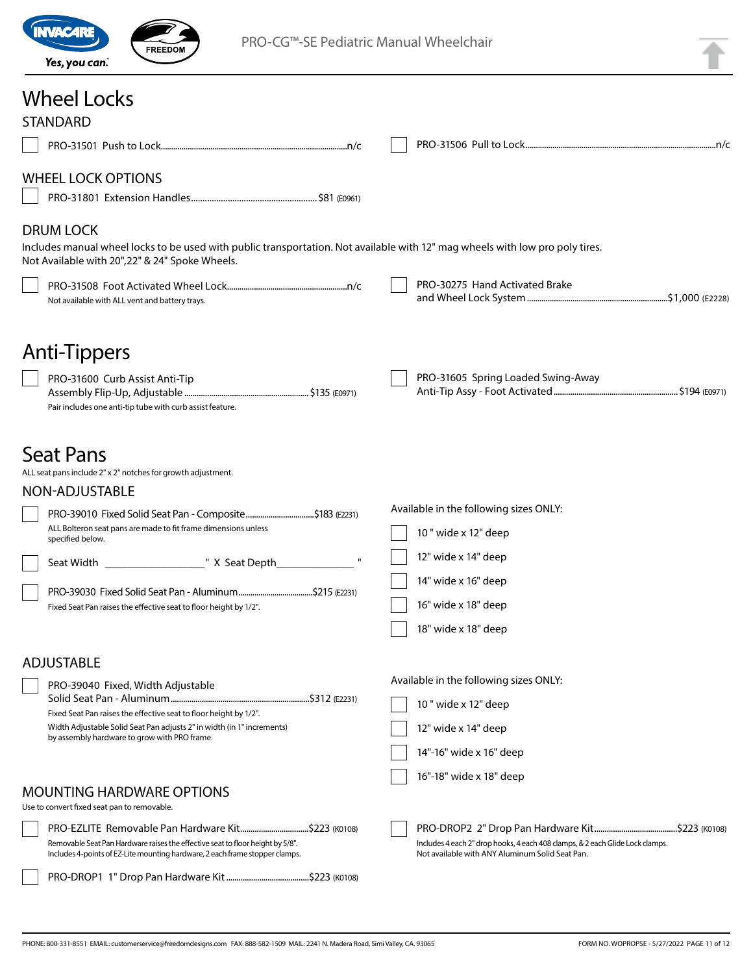

PRO-CG™-SE Pediatric Manual Wheelchair

|  | ٩, |
|--|----|
|  |    |
|  |    |

## Wheel Locks

| <b>STANDARD</b>                                                                                                                                                                                      |  |                                                                                                                                  |  |
|------------------------------------------------------------------------------------------------------------------------------------------------------------------------------------------------------|--|----------------------------------------------------------------------------------------------------------------------------------|--|
|                                                                                                                                                                                                      |  |                                                                                                                                  |  |
| <b>WHEEL LOCK OPTIONS</b>                                                                                                                                                                            |  |                                                                                                                                  |  |
| <b>DRUM LOCK</b><br>Includes manual wheel locks to be used with public transportation. Not available with 12" mag wheels with low pro poly tires.<br>Not Available with 20", 22" & 24" Spoke Wheels. |  |                                                                                                                                  |  |
| Not available with ALL vent and battery trays.                                                                                                                                                       |  | PRO-30275 Hand Activated Brake                                                                                                   |  |
| Anti-Tippers                                                                                                                                                                                         |  | PRO-31605 Spring Loaded Swing-Away                                                                                               |  |
| PRO-31600 Curb Assist Anti-Tip<br>Pair includes one anti-tip tube with curb assist feature.                                                                                                          |  |                                                                                                                                  |  |
| <b>Seat Pans</b><br>ALL seat pans include 2" x 2" notches for growth adjustment.<br>NON-ADJUSTABLE                                                                                                   |  |                                                                                                                                  |  |
| PRO-39010 Fixed Solid Seat Pan - Composite\$183 (E2231)                                                                                                                                              |  | Available in the following sizes ONLY:                                                                                           |  |
| ALL Bolteron seat pans are made to fit frame dimensions unless<br>specified below.                                                                                                                   |  | 10" wide x 12" deep                                                                                                              |  |
|                                                                                                                                                                                                      |  | 12" wide x 14" deep                                                                                                              |  |
|                                                                                                                                                                                                      |  | 14" wide x 16" deep                                                                                                              |  |
| Fixed Seat Pan raises the effective seat to floor height by 1/2".                                                                                                                                    |  | 16" wide x 18" deep                                                                                                              |  |
|                                                                                                                                                                                                      |  | 18" wide x 18" deep                                                                                                              |  |
| <b>ADJUSTABLE</b>                                                                                                                                                                                    |  |                                                                                                                                  |  |
| PRO-39040 Fixed, Width Adjustable                                                                                                                                                                    |  | Available in the following sizes ONLY:                                                                                           |  |
| Fixed Seat Pan raises the effective seat to floor height by 1/2".                                                                                                                                    |  | 10 " wide x 12" deep                                                                                                             |  |
| Width Adjustable Solid Seat Pan adjusts 2" in width (in 1" increments)<br>by assembly hardware to grow with PRO frame.                                                                               |  | 12" wide x 14" deep                                                                                                              |  |
|                                                                                                                                                                                                      |  | 14"-16" wide x 16" deep                                                                                                          |  |
| <b>MOUNTING HARDWARE OPTIONS</b><br>Use to convert fixed seat pan to removable.                                                                                                                      |  | 16"-18" wide x 18" deep                                                                                                          |  |
|                                                                                                                                                                                                      |  |                                                                                                                                  |  |
| Removable Seat Pan Hardware raises the effective seat to floor height by 5/8".<br>Includes 4-points of EZ-Lite mounting hardware, 2 each frame stopper clamps.                                       |  | Includes 4 each 2" drop hooks, 4 each 408 clamps, & 2 each Glide Lock clamps.<br>Not available with ANY Aluminum Solid Seat Pan. |  |
|                                                                                                                                                                                                      |  |                                                                                                                                  |  |